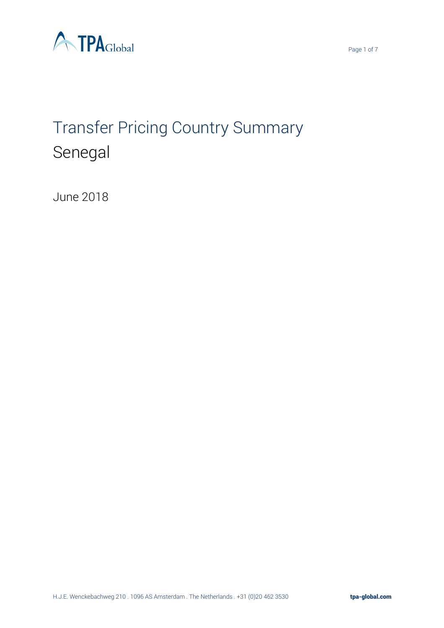

# Transfer Pricing Country Summary Senegal

June 2018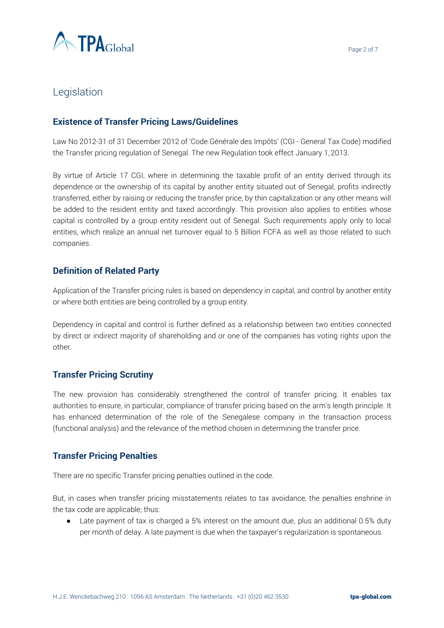

# Legislation

## **Existence of Transfer Pricing Laws/Guidelines**

Law No 2012-31 of 31 December 2012 of 'Code Générale des Impôts' (CGI - General Tax Code) modified the Transfer pricing regulation of Senegal. The new Regulation took effect January 1, 2013.

By virtue of Article 17 CGI, where in determining the taxable profit of an entity derived through its dependence or the ownership of its capital by another entity situated out of Senegal, profits indirectly transferred, either by raising or reducing the transfer price, by thin capitalization or any other means will be added to the resident entity and taxed accordingly. This provision also applies to entities whose capital is controlled by a group entity resident out of Senegal. Such requirements apply only to local entities, which realize an annual net turnover equal to 5 Billion FCFA as well as those related to such companies.

## **Definition of Related Party**

Application of the Transfer pricing rules is based on dependency in capital, and control by another entity or where both entities are being controlled by a group entity.

Dependency in capital and control is further defined as a relationship between two entities connected by direct or indirect majority of shareholding and or one of the companies has voting rights upon the other.

## **Transfer Pricing Scrutiny**

The new provision has considerably strengthened the control of transfer pricing. It enables tax authorities to ensure, in particular, compliance of transfer pricing based on the arm's length principle. It has enhanced determination of the role of the Senegalese company in the transaction process (functional analysis) and the relevance of the method chosen in determining the transfer price.

#### **Transfer Pricing Penalties**

There are no specific Transfer pricing penalties outlined in the code.

But, in cases when transfer pricing misstatements relates to tax avoidance, the penalties enshrine in the tax code are applicable; thus:

● Late payment of tax is charged a 5% interest on the amount due, plus an additional 0.5% duty per month of delay. A late payment is due when the taxpayer's regularization is spontaneous.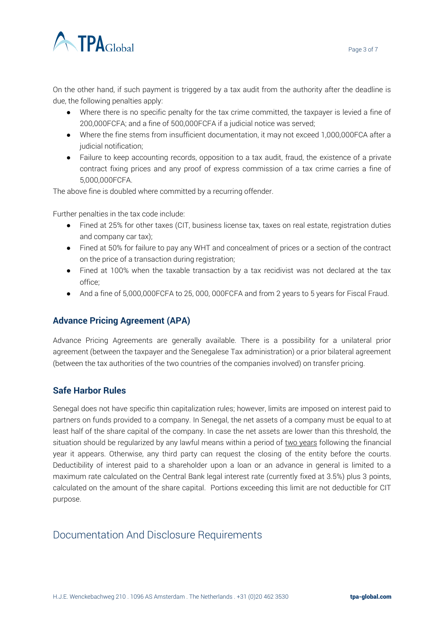

On the other hand, if such payment is triggered by a tax audit from the authority after the deadline is due, the following penalties apply:

- Where there is no specific penalty for the tax crime committed, the taxpayer is levied a fine of 200,000FCFA; and a fine of 500,000FCFA if a judicial notice was served;
- Where the fine stems from insufficient documentation, it may not exceed 1,000,000FCA after a judicial notification;
- Failure to keep accounting records, opposition to a tax audit, fraud, the existence of a private contract fixing prices and any proof of express commission of a tax crime carries a fine of 5,000,000FCFA.

The above fine is doubled where committed by a recurring offender.

Further penalties in the tax code include:

- Fined at 25% for other taxes (CIT, business license tax, taxes on real estate, registration duties and company car tax);
- Fined at 50% for failure to pay any WHT and concealment of prices or a section of the contract on the price of a transaction during registration;
- Fined at 100% when the taxable transaction by a tax recidivist was not declared at the tax office;
- And a fine of 5,000,000FCFA to 25,000,000FCFA and from 2 years to 5 years for Fiscal Fraud.

## **Advance Pricing Agreement (APA)**

Advance Pricing Agreements are generally available. There is a possibility for a unilateral prior agreement (between the taxpayer and the Senegalese Tax administration) or a prior bilateral agreement (between the tax authorities of the two countries of the companies involved) on transfer pricing.

## **Safe Harbor Rules**

Senegal does not have specific thin capitalization rules; however, limits are imposed on interest paid to partners on funds provided to a company. In Senegal, the net assets of a company must be equal to at least half of the share capital of the company. In case the net assets are lower than this threshold, the situation should be regularized by any lawful means within a period of two years following the financial year it appears. Otherwise, any third party can request the closing of the entity before the courts. Deductibility of interest paid to a shareholder upon a loan or an advance in general is limited to a maximum rate calculated on the Central Bank legal interest rate (currently fixed at 3.5%) plus 3 points, calculated on the amount of the share capital. Portions exceeding this limit are not deductible for CIT purpose.

# Documentation And Disclosure Requirements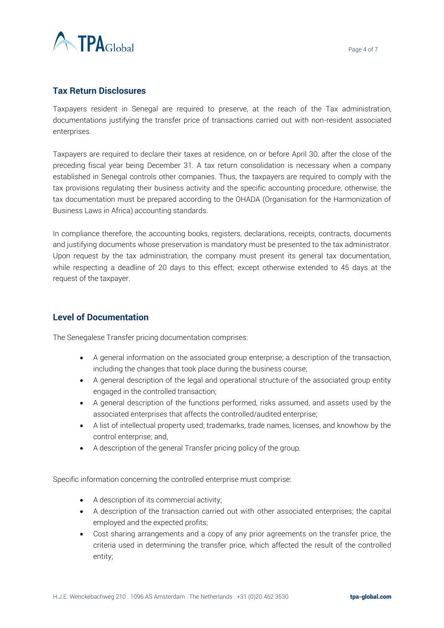

## **Tax Return Disclosures**

Taxpayers resident in Senegal are required to preserve, at the reach of the Tax administration, documentations justifying the transfer price of transactions carried out with non-resident associated enterprises.

Taxpayers are required to declare their taxes at residence, on or before April 30, after the close of the preceding fiscal year being December 31. A tax return consolidation is necessary when a company established in Senegal controls other companies. Thus, the taxpayers are required to comply with the tax provisions regulating their business activity and the specific accounting procedure, otherwise, the tax documentation must be prepared according to the OHADA (Organisation for the Harmonization of Business Laws in Africa) accounting standards.

In compliance therefore, the accounting books, registers, declarations, receipts, contracts, documents and justifying documents whose preservation is mandatory must be presented to the tax administrator. Upon request by the tax administration, the company must present its general tax documentation, while respecting a deadline of 20 days to this effect; except otherwise extended to 45 days at the request of the taxpayer.

## **Level of Documentation**

The Senegalese Transfer pricing documentation comprises:

- A general information on the associated group enterprise; a description of the transaction, including the changes that took place during the business course;
- A general description of the legal and operational structure of the associated group entity engaged in the controlled transaction;
- A general description of the functions performed, risks assumed, and assets used by the associated enterprises that affects the controlled/audited enterprise;
- A list of intellectual property used; trademarks, trade names, licenses, and knowhow by the control enterprise; and,
- A description of the general Transfer pricing policy of the group.

Specific information concerning the controlled enterprise must comprise:

- A description of its commercial activity;
- A description of the transaction carried out with other associated enterprises; the capital employed and the expected profits;
- Cost sharing arrangements and a copy of any prior agreements on the transfer price, the criteria used in determining the transfer price, which affected the result of the controlled entity;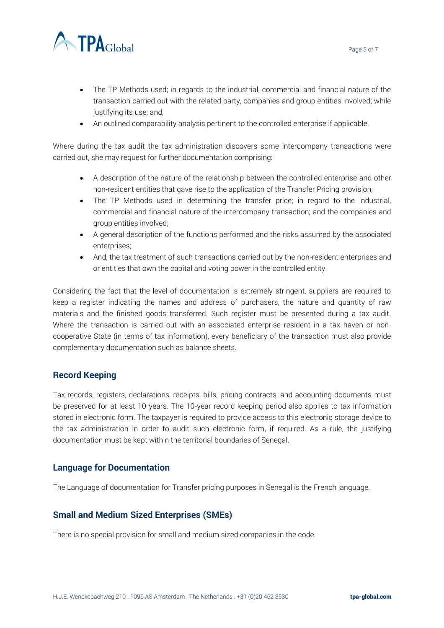

- The TP Methods used; in regards to the industrial, commercial and financial nature of the transaction carried out with the related party, companies and group entities involved; while justifying its use; and,
- An outlined comparability analysis pertinent to the controlled enterprise if applicable.

Where during the tax audit the tax administration discovers some intercompany transactions were carried out, she may request for further documentation comprising:

- A description of the nature of the relationship between the controlled enterprise and other non-resident entities that gave rise to the application of the Transfer Pricing provision;
- The TP Methods used in determining the transfer price; in regard to the industrial, commercial and financial nature of the intercompany transaction; and the companies and group entities involved;
- A general description of the functions performed and the risks assumed by the associated enterprises;
- And, the tax treatment of such transactions carried out by the non-resident enterprises and or entities that own the capital and voting power in the controlled entity.

Considering the fact that the level of documentation is extremely stringent, suppliers are required to keep a register indicating the names and address of purchasers, the nature and quantity of raw materials and the finished goods transferred. Such register must be presented during a tax audit. Where the transaction is carried out with an associated enterprise resident in a tax haven or noncooperative State (in terms of tax information), every beneficiary of the transaction must also provide complementary documentation such as balance sheets.

#### **Record Keeping**

Tax records, registers, declarations, receipts, bills, pricing contracts, and accounting documents must be preserved for at least 10 years. The 10-year record keeping period also applies to tax information stored in electronic form. The taxpayer is required to provide access to this electronic storage device to the tax administration in order to audit such electronic form, if required. As a rule, the justifying documentation must be kept within the territorial boundaries of Senegal.

#### **Language for Documentation**

The Language of documentation for Transfer pricing purposes in Senegal is the French language.

#### **Small and Medium Sized Enterprises (SMEs)**

There is no special provision for small and medium sized companies in the code.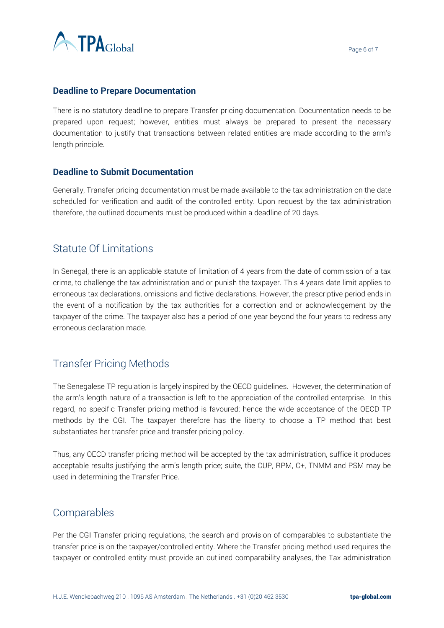

#### **Deadline to Prepare Documentation**

There is no statutory deadline to prepare Transfer pricing documentation. Documentation needs to be prepared upon request; however, entities must always be prepared to present the necessary documentation to justify that transactions between related entities are made according to the arm's length principle.

#### **Deadline to Submit Documentation**

Generally, Transfer pricing documentation must be made available to the tax administration on the date scheduled for verification and audit of the controlled entity. Upon request by the tax administration therefore, the outlined documents must be produced within a deadline of 20 days.

# Statute Of Limitations

In Senegal, there is an applicable statute of limitation of 4 years from the date of commission of a tax crime, to challenge the tax administration and or punish the taxpayer. This 4 years date limit applies to erroneous tax declarations, omissions and fictive declarations. However, the prescriptive period ends in the event of a notification by the tax authorities for a correction and or acknowledgement by the taxpayer of the crime. The taxpayer also has a period of one year beyond the four years to redress any erroneous declaration made.

# Transfer Pricing Methods

The Senegalese TP regulation is largely inspired by the OECD guidelines. However, the determination of the arm's length nature of a transaction is left to the appreciation of the controlled enterprise. In this regard, no specific Transfer pricing method is favoured; hence the wide acceptance of the OECD TP methods by the CGI. The taxpayer therefore has the liberty to choose a TP method that best substantiates her transfer price and transfer pricing policy.

Thus, any OECD transfer pricing method will be accepted by the tax administration, suffice it produces acceptable results justifying the arm's length price; suite, the CUP, RPM, C+, TNMM and PSM may be used in determining the Transfer Price.

# Comparables

Per the CGI Transfer pricing regulations, the search and provision of comparables to substantiate the transfer price is on the taxpayer/controlled entity. Where the Transfer pricing method used requires the taxpayer or controlled entity must provide an outlined comparability analyses, the Tax administration